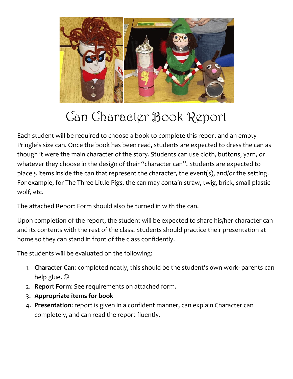

## Can Character Book Report

Each student will be required to choose a book to complete this report and an empty Pringle's size can. Once the book has been read, students are expected to dress the can as though it were the main character of the story. Students can use cloth, buttons, yarn, or whatever they choose in the design of their "character can". Students are expected to place 5 items inside the can that represent the character, the event(s), and/or the setting. For example, for The Three Little Pigs, the can may contain straw, twig, brick, small plastic wolf, etc.

The attached Report Form should also be turned in with the can.

Upon completion of the report, the student will be expected to share his/her character can and its contents with the rest of the class. Students should practice their presentation at home so they can stand in front of the class confidently.

The students will be evaluated on the following:

- 1. **Character Can**: completed neatly, this should be the student's own work- parents can help glue.  $\odot$
- 2. **Report Form**: See requirements on attached form.
- 3. **Appropriate items for book**
- 4. **Presentation**: report is given in a confident manner, can explain Character can completely, and can read the report fluently.